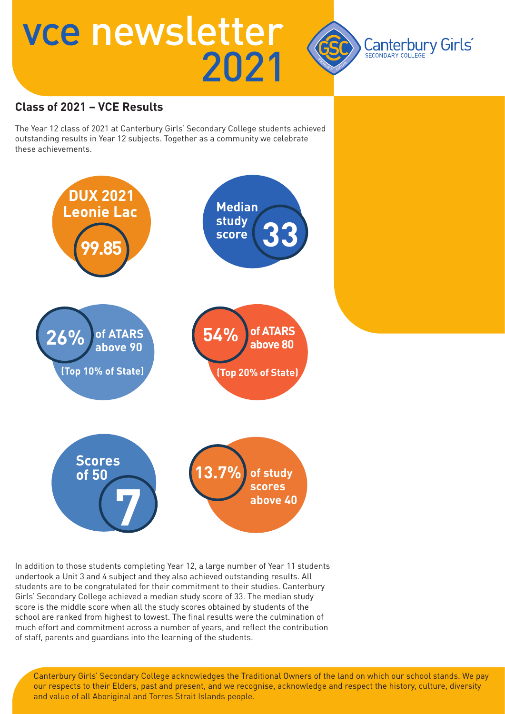

### **Class of 2021 – VCE Results**

The Year 12 class of 2021 at Canterbury Girls' Secondary College students achieved outstanding results in Year 12 subjects. Together as a community we celebrate these achievements.



In addition to those students completing Year 12, a large number of Year 11 students undertook a Unit 3 and 4 subject and they also achieved outstanding results. All students are to be congratulated for their commitment to their studies. Canterbury Girls' Secondary College achieved a median study score of 33. The median study score is the middle score when all the study scores obtained by students of the school are ranked from highest to lowest. The final results were the culmination of much effort and commitment across a number of years, and reflect the contribution of staff, parents and guardians into the learning of the students.

Canterbury Girls' Secondary College acknowledges the Traditional Owners of the land on which our school stands. We pay our respects to their Elders, past and present, and we recognise, acknowledge and respect the history, culture, diversity and value of all Aboriginal and Torres Strait Islands people.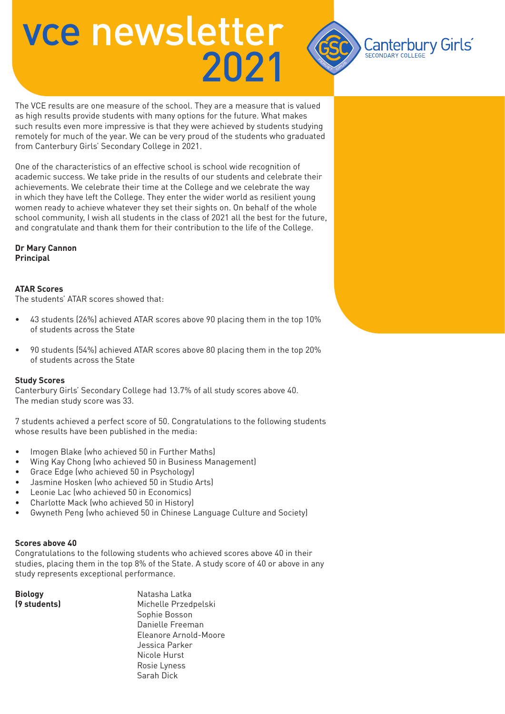

The VCE results are one measure of the school. They are a measure that is valued as high results provide students with many options for the future. What makes such results even more impressive is that they were achieved by students studying remotely for much of the year. We can be very proud of the students who graduated from Canterbury Girls' Secondary College in 2021.

One of the characteristics of an effective school is school wide recognition of academic success. We take pride in the results of our students and celebrate their achievements. We celebrate their time at the College and we celebrate the way in which they have left the College. They enter the wider world as resilient young women ready to achieve whatever they set their sights on. On behalf of the whole school community, I wish all students in the class of 2021 all the best for the future, and congratulate and thank them for their contribution to the life of the College.

#### **Dr Mary Cannon Principal**

### **ATAR Scores**

The students' ATAR scores showed that:

- 43 students (26%) achieved ATAR scores above 90 placing them in the top 10% of students across the State
- 90 students (54%) achieved ATAR scores above 80 placing them in the top 20% of students across the State

#### **Study Scores**

Canterbury Girls' Secondary College had 13.7% of all study scores above 40. The median study score was 33.

7 students achieved a perfect score of 50. Congratulations to the following students whose results have been published in the media:

- Imogen Blake (who achieved 50 in Further Maths)
- Wing Kay Chong (who achieved 50 in Business Management)
- Grace Edge (who achieved 50 in Psychology)
- Jasmine Hosken (who achieved 50 in Studio Arts)
- Leonie Lac (who achieved 50 in Economics)
- Charlotte Mack (who achieved 50 in History)
- Gwyneth Peng (who achieved 50 in Chinese Language Culture and Society)

#### **Scores above 40**

Congratulations to the following students who achieved scores above 40 in their studies, placing them in the top 8% of the State. A study score of 40 or above in any study represents exceptional performance.

**Biology Natasha Latka (9 students)** Michelle Przedpelski Sophie Bosson Danielle Freeman Eleanore Arnold-Moore Jessica Parker Nicole Hurst Rosie Lyness Sarah Dick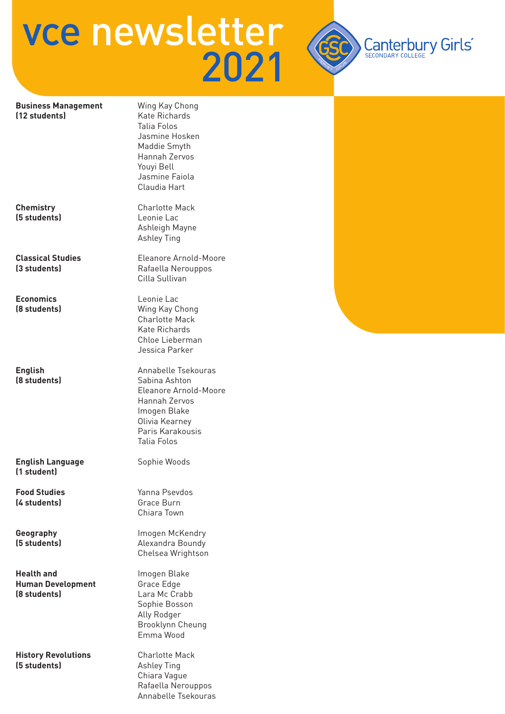

#### **Business Management** Wing Kay Chong **(12 students)** Kate Richards

**(5 students)** Leonie Lac

**Economics** Leonie Lac

**English Language Sophie Woods (1 student)**

**(4 students) Grace Burn** 

**Health and Imogen Blake Human Development Grace Edge (8 students)** Lara Mc Crabb

**History Revolutions** Charlotte Mack **(5 students)** Ashley Ting

 Talia Folos Jasmine Hosken Maddie Smyth Hannah Zervos Youyi Bell Jasmine Faiola Claudia Hart

**Chemistry Charlotte Mack**  Ashleigh Mayne Ashley Ting

**Classical Studies** Eleanore Arnold-Moore **(3 students) Rafaella Nerouppos** Cilla Sullivan

**(8 students)** Wing Kay Chong Charlotte Mack Kate Richards Chloe Lieberman Jessica Parker

**English** Annabelle Tsekouras **(8 students) Sabina Ashton**  Eleanore Arnold-Moore Hannah Zervos Imogen Blake Olivia Kearney Paris Karakousis Talia Folos

**Food Studies** Yanna Psevdos Chiara Town

**Geography Imogen McKendry (5 students)** Alexandra Boundy Chelsea Wrightson

> Sophie Bosson Ally Rodger Brooklynn Cheung Emma Wood

 Chiara Vague Rafaella Nerouppos Annabelle Tsekouras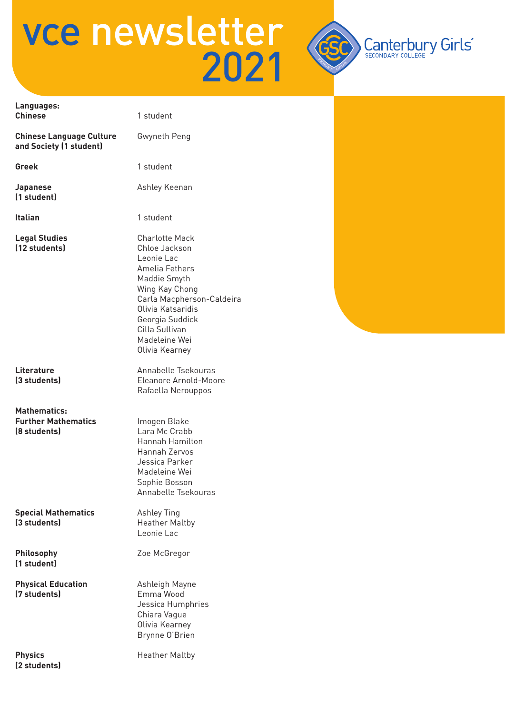

| Languages:<br><b>Chinese</b>                                      | 1 student                                                                                                                                                                                                                          |  |
|-------------------------------------------------------------------|------------------------------------------------------------------------------------------------------------------------------------------------------------------------------------------------------------------------------------|--|
| <b>Chinese Language Culture</b><br>and Society (1 student)        | Gwyneth Peng                                                                                                                                                                                                                       |  |
| <b>Greek</b>                                                      | 1 student                                                                                                                                                                                                                          |  |
| <b>Japanese</b><br>(1 student)                                    | Ashley Keenan                                                                                                                                                                                                                      |  |
| Italian                                                           | 1 student                                                                                                                                                                                                                          |  |
| <b>Legal Studies</b><br>(12 students)                             | <b>Charlotte Mack</b><br>Chloe Jackson<br>Leonie Lac<br>Amelia Fethers<br>Maddie Smyth<br>Wing Kay Chong<br>Carla Macpherson-Caldeira<br>Olivia Katsaridis<br>Georgia Suddick<br>Cilla Sullivan<br>Madeleine Wei<br>Olivia Kearney |  |
| Literature<br>(3 students)                                        | Annabelle Tsekouras<br>Eleanore Arnold-Moore<br>Rafaella Nerouppos                                                                                                                                                                 |  |
| <b>Mathematics:</b><br><b>Further Mathematics</b><br>(8 students) | Imogen Blake<br>Lara Mc Crabb<br>Hannah Hamilton<br>Hannah Zervos<br>Jessica Parker<br>Madeleine Wei<br>Sophie Bosson<br>Annabelle Tsekouras                                                                                       |  |
| <b>Special Mathematics</b><br>(3 students)                        | Ashley Ting<br><b>Heather Maltby</b><br>Leonie Lac                                                                                                                                                                                 |  |
| Philosophy<br>(1 student)                                         | Zoe McGregor                                                                                                                                                                                                                       |  |
| <b>Physical Education</b><br>(7 students)                         | Ashleigh Mayne<br>Emma Wood<br>Jessica Humphries<br>Chiara Vague<br>Olivia Kearney<br>Brynne O'Brien                                                                                                                               |  |
| <b>Physics</b><br>(2 students)                                    | <b>Heather Maltby</b>                                                                                                                                                                                                              |  |